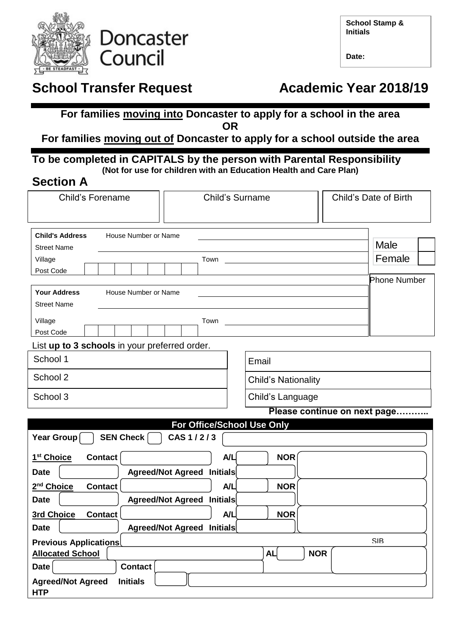

**Doncaster** Council

| <b>School Stamp &amp;</b> |  |
|---------------------------|--|
| <b>Initials</b>           |  |

**Date:**

# **School Transfer Request Manual Academic Year 2018/19**

## **For families moving into Doncaster to apply for a school in the area OR**

## **For families moving out of Doncaster to apply for a school outside the area**

## **To be completed in CAPITALS by the person with Parental Responsibility (Not for use for children with an Education Health and Care Plan)**

## **Section A**

| <b>Child's Forename</b>                                           |                                   | <b>Child's Surname</b>     | Child's Date of Birth        |  |
|-------------------------------------------------------------------|-----------------------------------|----------------------------|------------------------------|--|
| <b>Child's Address</b><br>House Number or Name                    |                                   |                            |                              |  |
| <b>Street Name</b>                                                |                                   |                            | Male                         |  |
| Village                                                           | Town                              |                            | Female                       |  |
| Post Code                                                         |                                   |                            |                              |  |
| <b>Your Address</b><br>House Number or Name<br><b>Street Name</b> |                                   |                            | <b>Phone Number</b>          |  |
| Village                                                           | Town                              |                            |                              |  |
| Post Code                                                         |                                   |                            |                              |  |
| List up to 3 schools in your preferred order.                     |                                   |                            |                              |  |
| School 1                                                          |                                   | Email                      |                              |  |
| School 2                                                          |                                   | <b>Child's Nationality</b> |                              |  |
| School 3                                                          |                                   | Child's Language           |                              |  |
|                                                                   |                                   |                            | Please continue on next page |  |
|                                                                   | For Office/School Use Only        |                            |                              |  |
| Year Group<br>SEN Check                                           | CAS 1/2/3                         |                            |                              |  |
| 1 <sup>st</sup> Choice<br><b>Contact</b>                          | A/L                               | <b>NOR</b>                 |                              |  |
| <b>Date</b>                                                       | Agreed/Not Agreed Initials        |                            |                              |  |
| 2 <sup>nd</sup> Choice<br><b>Contact</b>                          | A/L                               | <b>NOR</b>                 |                              |  |
| <b>Date</b>                                                       | Agreed/Not Agreed Initials        |                            |                              |  |
| <b>3rd Choice</b><br><b>Contact</b>                               | A/L                               | <b>NOR</b>                 |                              |  |
| <b>Date</b>                                                       | <b>Agreed/Not Agreed Initials</b> |                            |                              |  |
| <b>Previous Applications</b>                                      |                                   |                            | <b>SIB</b>                   |  |
| <b>Allocated School</b>                                           |                                   | <b>AL</b><br><b>NOR</b>    |                              |  |
| <b>Date</b><br><b>Contact</b>                                     |                                   |                            |                              |  |
| <b>Agreed/Not Agreed</b><br><b>Initials</b><br><b>HTP</b>         |                                   |                            |                              |  |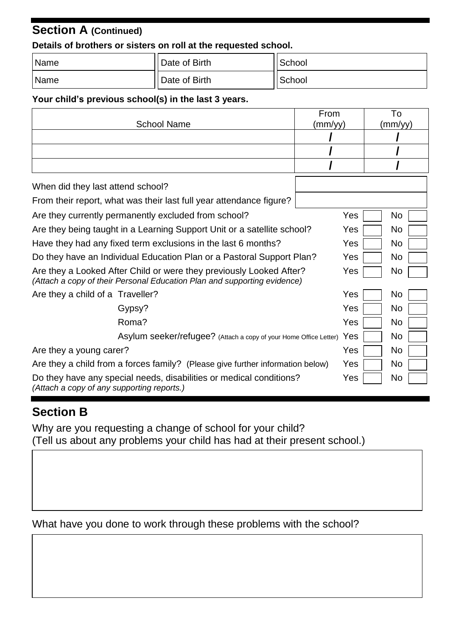# **Section A (Continued)**

#### **Details of brothers or sisters on roll at the requested school.**

| Name | Date of Birth | School |
|------|---------------|--------|
| Name | Date of Birth | School |

## **Your child's previous school(s) in the last 3 years.**

|                                                                                                                                                 | From    |  | To             |
|-------------------------------------------------------------------------------------------------------------------------------------------------|---------|--|----------------|
| <b>School Name</b>                                                                                                                              | (mm/yy) |  | (mm/yy)        |
|                                                                                                                                                 |         |  |                |
|                                                                                                                                                 |         |  |                |
|                                                                                                                                                 |         |  |                |
| When did they last attend school?                                                                                                               |         |  |                |
| From their report, what was their last full year attendance figure?                                                                             |         |  |                |
| Are they currently permanently excluded from school?                                                                                            |         |  | N <sub>o</sub> |
| Are they being taught in a Learning Support Unit or a satellite school?                                                                         |         |  | No.            |
| Have they had any fixed term exclusions in the last 6 months?                                                                                   |         |  | <b>No</b>      |
| Do they have an Individual Education Plan or a Pastoral Support Plan?                                                                           |         |  | N <sub>o</sub> |
| Are they a Looked After Child or were they previously Looked After?<br>(Attach a copy of their Personal Education Plan and supporting evidence) |         |  | No.            |
| Are they a child of a Traveller?                                                                                                                | Yes     |  | No             |
| Gypsy?                                                                                                                                          | Yes     |  | N <sub>o</sub> |
| Roma?                                                                                                                                           | Yes     |  | N <sub>o</sub> |
| Asylum seeker/refugee? (Attach a copy of your Home Office Letter)                                                                               | Yes     |  | No             |
| Are they a young carer?                                                                                                                         |         |  | No.            |
| Are they a child from a forces family? (Please give further information below)                                                                  |         |  | N <sub>o</sub> |
| Do they have any special needs, disabilities or medical conditions?<br>(Attach a copy of any supporting reports.)                               | Yes     |  | No             |

## **Section B**

Why are you requesting a change of school for your child? (Tell us about any problems your child has had at their present school.)

What have you done to work through these problems with the school?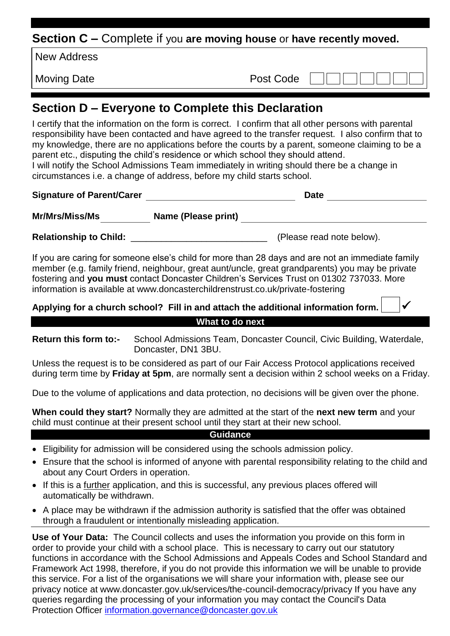**Section C –** Complete if you **are moving house** or **have recently moved.**

New Address

Moving Date **Post Code** 

# **Section D – Everyone to Complete this Declaration**

I certify that the information on the form is correct. I confirm that all other persons with parental responsibility have been contacted and have agreed to the transfer request. I also confirm that to my knowledge, there are no applications before the courts by a parent, someone claiming to be a parent etc., disputing the child's residence or which school they should attend. I will notify the School Admissions Team immediately in writing should there be a change in

circumstances i.e. a change of address, before my child starts school.

| <b>Signature of Parent/Carer</b> |                     | <b>Date</b>               |  |
|----------------------------------|---------------------|---------------------------|--|
| Mr/Mrs/Miss/Ms                   | Name (Please print) |                           |  |
| <b>Relationship to Child:</b>    |                     | (Please read note below). |  |

If you are caring for someone else's child for more than 28 days and are not an immediate family member (e.g. family friend, neighbour, great aunt/uncle, great grandparents) you may be private fostering and **you must** contact Doncaster Children's Services Trust on 01302 737033. More information is available at www.doncasterchildrenstrust.co.uk/private-fostering

**Applying for a church school? Fill in and attach the additional information form.** 

## **What to do next**

**Return this form to:-** School Admissions Team, Doncaster Council, Civic Building, Waterdale, Doncaster, DN1 3BU.

Unless the request is to be considered as part of our Fair Access Protocol applications received during term time by **Friday at 5pm**, are normally sent a decision within 2 school weeks on a Friday.

Due to the volume of applications and data protection, no decisions will be given over the phone.

**When could they start?** Normally they are admitted at the start of the **next new term** and your child must continue at their present school until they start at their new school.

#### **Guidance**

- Eligibility for admission will be considered using the schools admission policy.
- Ensure that the school is informed of anyone with parental responsibility relating to the child and about any Court Orders in operation.
- If this is a further application, and this is successful, any previous places offered will automatically be withdrawn.
- A place may be withdrawn if the admission authority is satisfied that the offer was obtained through a fraudulent or intentionally misleading application.

**Use of Your Data:** The Council collects and uses the information you provide on this form in order to provide your child with a school place. This is necessary to carry out our statutory functions in accordance with the School Admissions and Appeals Codes and School Standard and Framework Act 1998, therefore, if you do not provide this information we will be unable to provide this service. For a list of the organisations we will share your information with, please see our privacy notice at www.doncaster.gov.uk/services/the-council-democracy/privacy If you have any queries regarding the processing of your information you may contact the Council's Data Protection Officer [information.governance@doncaster.gov.uk](mailto:information.governance@doncaster.gov.uk)